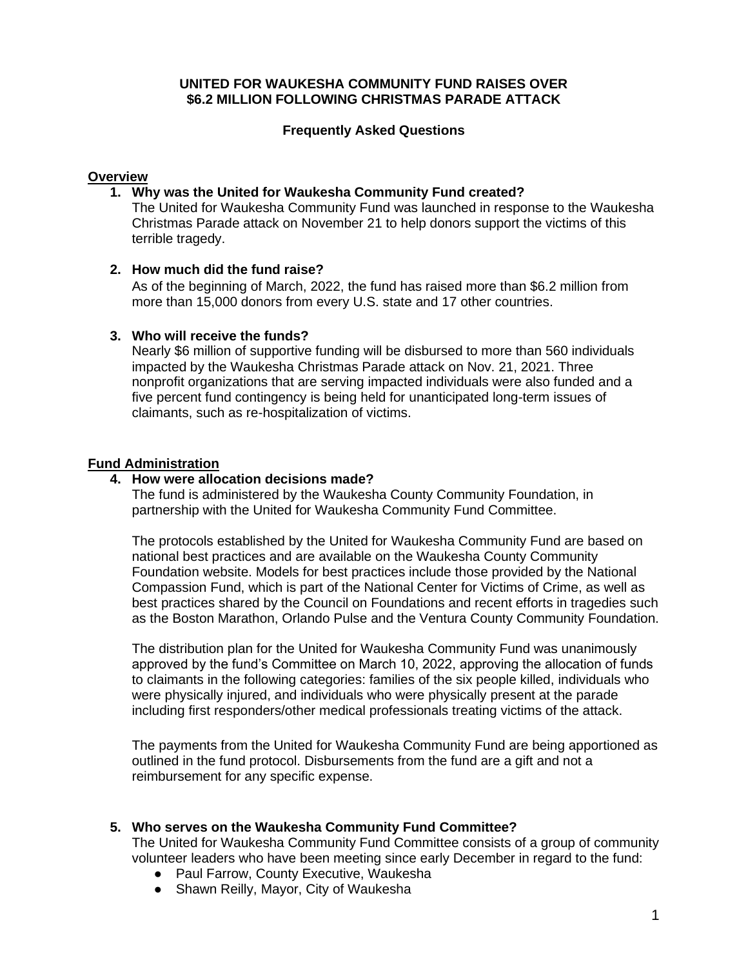# **UNITED FOR WAUKESHA COMMUNITY FUND RAISES OVER \$6.2 MILLION FOLLOWING CHRISTMAS PARADE ATTACK**

# **Frequently Asked Questions**

# **Overview**

# **1. Why was the United for Waukesha Community Fund created?**

The United for Waukesha Community Fund was launched in response to the Waukesha Christmas Parade attack on November 21 to help donors support the victims of this terrible tragedy.

# **2. How much did the fund raise?**

As of the beginning of March, 2022, the fund has raised more than \$6.2 million from more than 15,000 donors from every U.S. state and 17 other countries.

# **3. Who will receive the funds?**

Nearly \$6 million of supportive funding will be disbursed to more than 560 individuals impacted by the Waukesha Christmas Parade attack on Nov. 21, 2021. Three nonprofit organizations that are serving impacted individuals were also funded and a five percent fund contingency is being held for unanticipated long-term issues of claimants, such as re-hospitalization of victims.

# **Fund Administration**

### **4. How were allocation decisions made?**

The fund is administered by the Waukesha County Community Foundation, in partnership with the United for Waukesha Community Fund Committee.

The protocols established by the United for Waukesha Community Fund are based on national best practices and are available on the Waukesha County Community Foundation website. Models for best practices include those provided by the National Compassion Fund, which is part of the National Center for Victims of Crime, as well as best practices shared by the Council on Foundations and recent efforts in tragedies such as the Boston Marathon, Orlando Pulse and the Ventura County Community Foundation.

The distribution plan for the United for Waukesha Community Fund was unanimously approved by the fund's Committee on March 10, 2022, approving the allocation of funds to claimants in the following categories: families of the six people killed, individuals who were physically injured, and individuals who were physically present at the parade including first responders/other medical professionals treating victims of the attack.

The payments from the United for Waukesha Community Fund are being apportioned as outlined in the fund protocol. Disbursements from the fund are a gift and not a reimbursement for any specific expense.

# **5. Who serves on the Waukesha Community Fund Committee?**

The United for Waukesha Community Fund Committee consists of a group of community volunteer leaders who have been meeting since early December in regard to the fund:

- Paul Farrow, County Executive, Waukesha
- Shawn Reilly, Mayor, City of Waukesha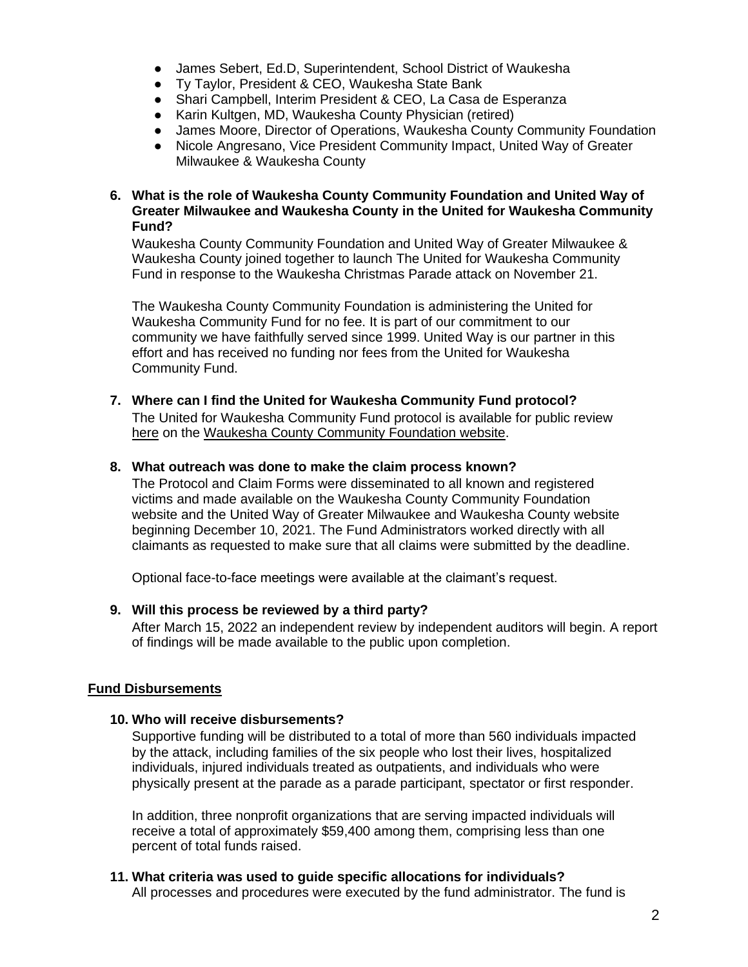- James Sebert, Ed.D, Superintendent, School District of Waukesha
- Ty Taylor, President & CEO, Waukesha State Bank
- Shari Campbell, Interim President & CEO, La Casa de Esperanza
- Karin Kultgen, MD, Waukesha County Physician (retired)
- James Moore, Director of Operations, Waukesha County Community Foundation
- Nicole Angresano, Vice President Community Impact, United Way of Greater Milwaukee & Waukesha County

# **6. What is the role of Waukesha County Community Foundation and United Way of Greater Milwaukee and Waukesha County in the United for Waukesha Community Fund?**

Waukesha County Community Foundation and United Way of Greater Milwaukee & Waukesha County joined together to launch The United for Waukesha Community Fund in response to the Waukesha Christmas Parade attack on November 21.

The Waukesha County Community Foundation is administering the United for Waukesha Community Fund for no fee. It is part of our commitment to our community we have faithfully served since 1999. United Way is our partner in this effort and has received no funding nor fees from the United for Waukesha Community Fund.

#### **7. Where can I find the United for Waukesha Community Fund protocol?** The United for Waukesha Community Fund protocol is available for public review [here](https://waukeshafoundation.org/wp-content/uploads/United-for-Waukesha%20Community-Fund-protocol.pdf) on the [Waukesha County Community Foundation website.](https://waukeshafoundation.org/united-for-waukesha-victim-resources/)

# **8. What outreach was done to make the claim process known?**

The Protocol and Claim Forms were disseminated to all known and registered victims and made available on the Waukesha County Community Foundation website and the United Way of Greater Milwaukee and Waukesha County website beginning December 10, 2021. The Fund Administrators worked directly with all claimants as requested to make sure that all claims were submitted by the deadline.

Optional face-to-face meetings were available at the claimant's request.

#### **9. Will this process be reviewed by a third party?**

After March 15, 2022 an independent review by independent auditors will begin. A report of findings will be made available to the public upon completion.

#### **Fund Disbursements**

#### **10. Who will receive disbursements?**

Supportive funding will be distributed to a total of more than 560 individuals impacted by the attack, including families of the six people who lost their lives, hospitalized individuals, injured individuals treated as outpatients, and individuals who were physically present at the parade as a parade participant, spectator or first responder.

In addition, three nonprofit organizations that are serving impacted individuals will receive a total of approximately \$59,400 among them, comprising less than one percent of total funds raised.

# **11. What criteria was used to guide specific allocations for individuals?** All processes and procedures were executed by the fund administrator. The fund is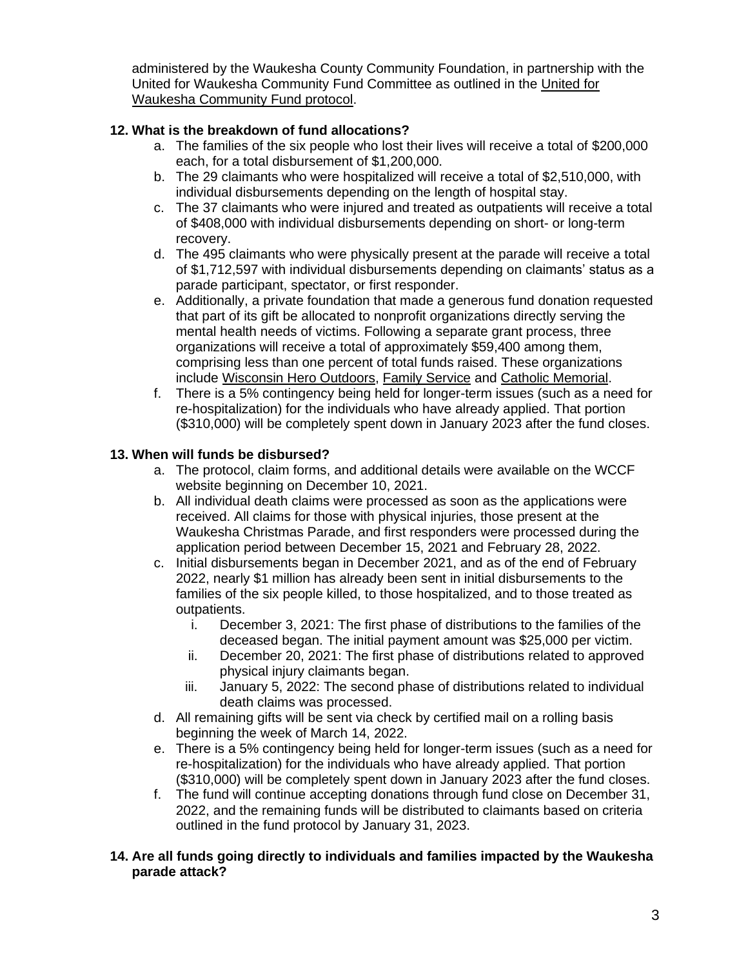administered by the Waukesha County Community Foundation, in partnership with the United for Waukesha Community Fund Committee as outlined in the [United for](https://waukeshafoundation.org/wp-content/uploads/United-for-Waukesha%20Community-Fund-protocol.pdf)  [Waukesha Community Fund protocol.](https://waukeshafoundation.org/wp-content/uploads/United-for-Waukesha%20Community-Fund-protocol.pdf)

# **12. What is the breakdown of fund allocations?**

- a. The families of the six people who lost their lives will receive a total of \$200,000 each, for a total disbursement of \$1,200,000.
- b. The 29 claimants who were hospitalized will receive a total of \$2,510,000, with individual disbursements depending on the length of hospital stay.
- c. The 37 claimants who were injured and treated as outpatients will receive a total of \$408,000 with individual disbursements depending on short- or long-term recovery.
- d. The 495 claimants who were physically present at the parade will receive a total of \$1,712,597 with individual disbursements depending on claimants' status as a parade participant, spectator, or first responder.
- e. Additionally, a private foundation that made a generous fund donation requested that part of its gift be allocated to nonprofit organizations directly serving the mental health needs of victims. Following a separate grant process, three organizations will receive a total of approximately \$59,400 among them, comprising less than one percent of total funds raised. These organizations include [Wisconsin Hero Outdoors,](https://wiherooutdoors.org/) [Family Service](https://www.fswaukesha.org/) and [Catholic Memorial.](https://catholicmemorial.net/)
- f. There is a 5% contingency being held for longer-term issues (such as a need for re-hospitalization) for the individuals who have already applied. That portion (\$310,000) will be completely spent down in January 2023 after the fund closes.

# **13. When will funds be disbursed?**

- a. The protocol, claim forms, and additional details were available on the WCCF website beginning on December 10, 2021.
- b. All individual death claims were processed as soon as the applications were received. All claims for those with physical injuries, those present at the Waukesha Christmas Parade, and first responders were processed during the application period between December 15, 2021 and February 28, 2022.
- c. Initial disbursements began in December 2021, and as of the end of February 2022, nearly \$1 million has already been sent in initial disbursements to the families of the six people killed, to those hospitalized, and to those treated as outpatients.
	- i. December 3, 2021: The first phase of distributions to the families of the deceased began. The initial payment amount was \$25,000 per victim.
	- ii. December 20, 2021: The first phase of distributions related to approved physical injury claimants began.
	- iii. January 5, 2022: The second phase of distributions related to individual death claims was processed.
- d. All remaining gifts will be sent via check by certified mail on a rolling basis beginning the week of March 14, 2022.
- e. There is a 5% contingency being held for longer-term issues (such as a need for re-hospitalization) for the individuals who have already applied. That portion (\$310,000) will be completely spent down in January 2023 after the fund closes.
- f. The fund will continue accepting donations through fund close on December 31, 2022, and the remaining funds will be distributed to claimants based on criteria outlined in the fund protocol by January 31, 2023.

# **14. Are all funds going directly to individuals and families impacted by the Waukesha parade attack?**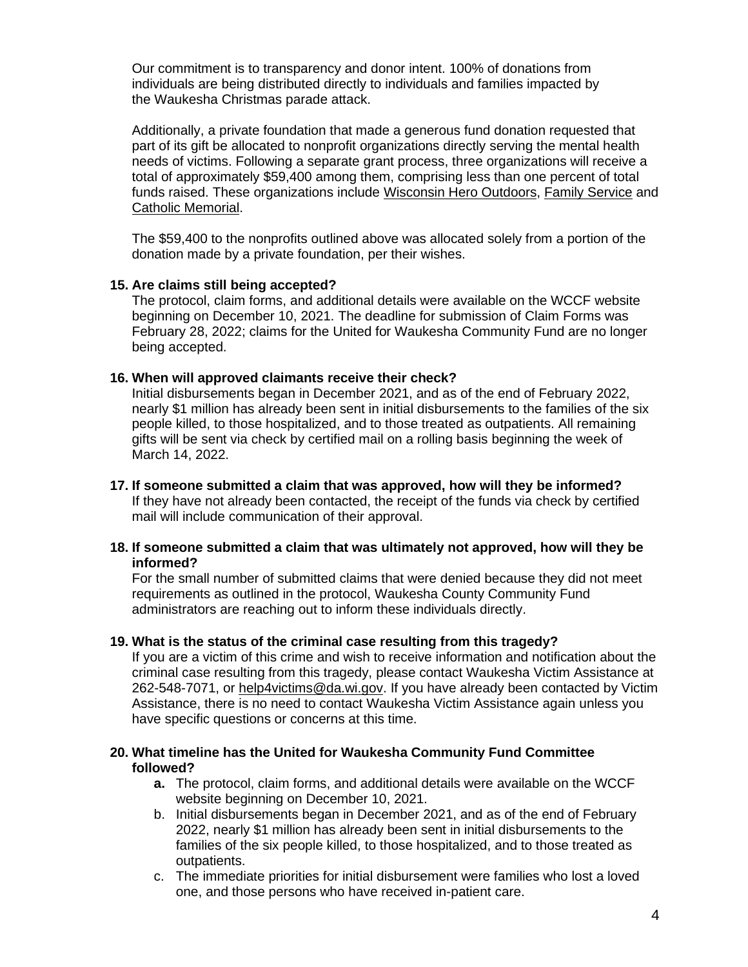Our commitment is to transparency and donor intent. 100% of donations from individuals are being distributed directly to individuals and families impacted by the Waukesha Christmas parade attack.

Additionally, a private foundation that made a generous fund donation requested that part of its gift be allocated to nonprofit organizations directly serving the mental health needs of victims. Following a separate grant process, three organizations will receive a total of approximately \$59,400 among them, comprising less than one percent of total funds raised. These organizations include [Wisconsin Hero Outdoors,](https://wiherooutdoors.org/) [Family Service](https://www.fswaukesha.org/) and [Catholic Memorial.](https://catholicmemorial.net/)

The \$59,400 to the nonprofits outlined above was allocated solely from a portion of the donation made by a private foundation, per their wishes.

# **15. Are claims still being accepted?**

The protocol, claim forms, and additional details were available on the WCCF website beginning on December 10, 2021. The deadline for submission of Claim Forms was February 28, 2022; claims for the United for Waukesha Community Fund are no longer being accepted.

# **16. When will approved claimants receive their check?**

Initial disbursements began in December 2021, and as of the end of February 2022, nearly \$1 million has already been sent in initial disbursements to the families of the six people killed, to those hospitalized, and to those treated as outpatients. All remaining gifts will be sent via check by certified mail on a rolling basis beginning the week of March 14, 2022.

**17. If someone submitted a claim that was approved, how will they be informed?**  If they have not already been contacted, the receipt of the funds via check by certified mail will include communication of their approval.

# **18. If someone submitted a claim that was ultimately not approved, how will they be informed?**

For the small number of submitted claims that were denied because they did not meet requirements as outlined in the protocol, Waukesha County Community Fund administrators are reaching out to inform these individuals directly.

#### **19. What is the status of the criminal case resulting from this tragedy?**

If you are a victim of this crime and wish to receive information and notification about the criminal case resulting from this tragedy, please contact Waukesha Victim Assistance at 262-548-7071, or [help4victims@da.wi.gov.](mailto:help4victims@da.wi.gov) If you have already been contacted by Victim Assistance, there is no need to contact Waukesha Victim Assistance again unless you have specific questions or concerns at this time.

# **20. What timeline has the United for Waukesha Community Fund Committee followed?**

- **a.** The protocol, claim forms, and additional details were available on the WCCF website beginning on December 10, 2021.
- b. Initial disbursements began in December 2021, and as of the end of February 2022, nearly \$1 million has already been sent in initial disbursements to the families of the six people killed, to those hospitalized, and to those treated as outpatients.
- c. The immediate priorities for initial disbursement were families who lost a loved one, and those persons who have received in-patient care.